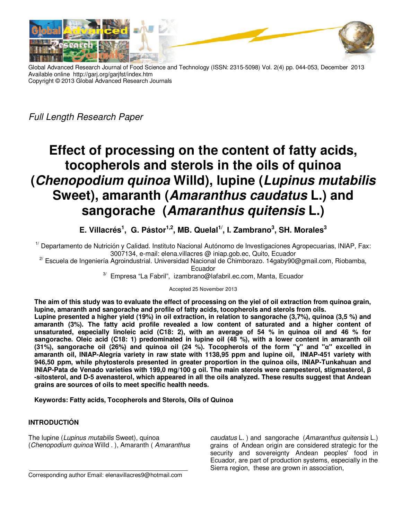

Global Advanced Research Journal of Food Science and Technology (ISSN: 2315-5098) Vol. 2(4) pp. 044-053, December 2013 Available online http://garj.org/garjfst/index.htm Copyright © 2013 Global Advanced Research Journals

Full Length Research Paper

# **Effect of processing on the content of fatty acids, tocopherols and sterols in the oils of quinoa (Chenopodium quinoa Willd), lupine (Lupinus mutabilis Sweet), amaranth (Amaranthus caudatus L.) and sangorache (Amaranthus quitensis L.)**

**E. Villacrés<sup>1</sup> , G. Pástor1,2, MB. Quelal1/, I. Zambrano<sup>3</sup> , SH. Morales<sup>3</sup>**

 $1/$  Departamento de Nutrición y Calidad. Instituto Nacional Autónomo de Investigaciones Agropecuarias, INIAP, Fax: 3007134, e-mail: elena.villacres @ iniap.gob.ec, Quito, Ecuador

 $2^{7}$  Escuela de Ingeniería Agroindustrial. Universidad Nacional de Chimborazo. 14gaby90@gmail.com, Riobamba,

Ecuador

3/ Empresa "La Fabril", izambrano@lafabril.ec.com, Manta, Ecuador

Accepted 25 November 2013

**The aim of this study was to evaluate the effect of processing on the yiel of oil extraction from quinoa grain, lupine, amaranth and sangorache and profile of fatty acids, tocopherols and sterols from oils.** 

**Lupine presented a higher yield (19%) in oil extraction, in relation to sangorache (3,7%), quinoa (3,5 %) and amaranth (3%). The fatty acid profile revealed a low content of saturated and a higher content of unsaturated, especially linoleic acid (C18: 2), with an average of 54 % in quinoa oil and 46 % for sangorache. Oleic acid (C18: 1) predominated in lupine oil (48 %), with a lower content in amaranth oil (31%), sangorache oil (26%) and quinoa oil (24 %). Tocopherols of the form "ɣ" and "α" excelled in amaranth oil, INIAP-Alegría variety in raw state with 1138,95 ppm and lupine oil, INIAP-451 variety with 946,50 ppm, while phytosterols presented in greater proportion in the quinoa oils, lNlAP-Tunkahuan and lNlAP-Pata de Venado varieties with 199,0 mg/100 g oil. The main sterols were campesterol, stigmasterol, β -sitosterol, and D-5 avenasterol, which appeared in all the oils analyzed. These results suggest that Andean grains are sources of oils to meet specific health needs.** 

**Keywords: Fatty acids, Tocopherols and Sterols, Oils of Quinoa** 

## **INTRODUCTIÓN**

The lupine (Lupinus mutabilis Sweet), quinoa (Chenopodium quinoa Willd . ), Amaranth ( Amaranthus

Corresponding author Email: elenavillacres9@hotmail.com

caudatus L. ) and sangorache (Amaranthus quitensis L.) grains of Andean origin are considered strategic for the security and sovereignty Andean peoples' food in Ecuador, are part of production systems, especially in the Sierra region, these are grown in association,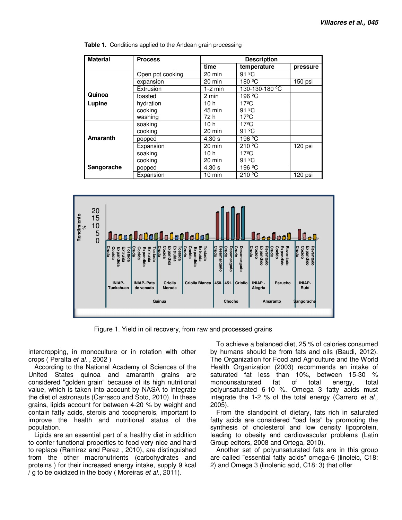| <b>Material</b> | <b>Process</b>   | <b>Description</b> |                          |          |  |
|-----------------|------------------|--------------------|--------------------------|----------|--|
|                 |                  | time               | temperature              | pressure |  |
|                 | Open pot cooking | 20 min             | 91 $°C$                  |          |  |
|                 | expansion        | 20 min             | 180 <sup>o</sup> C       | 150 psi  |  |
|                 | Extrusion        | $1-2$ min          | 130-130-180 °C           |          |  |
| Quinoa          | toasted          | 2 min              | 196 <sup>o</sup> C       |          |  |
| Lupine          | hydration        | 10h                | $17^{\circ}$ C           |          |  |
|                 | cooking          | 45 min             | $91 \n\degree C$         |          |  |
|                 | washing          | 72 h               | $17^{\circ}$ C           |          |  |
|                 | soaking          | 10 <sub>h</sub>    | $17^{\circ}$ C           |          |  |
|                 | cooking          | 20 min             | 91 °C                    |          |  |
| <b>Amaranth</b> | popped           | 4,30 s             | 196 <sup>o</sup> C       |          |  |
|                 | Expansion        | 20 min             | 210 °C                   | 120 psi  |  |
|                 | soaking          | 10 <sub>h</sub>    | $17^{\circ}$ C           |          |  |
|                 | cooking          | 20 min             | 91 °C                    |          |  |
| Sangorache      | popped           | 4,30 s             | 196 <sup>º</sup> C       |          |  |
|                 | Expansion        | $10 \text{ min}$   | $210 \text{ }^{\circ}$ C | 120 psi  |  |

**Table 1.** Conditions applied to the Andean grain processing



Figure 1. Yield in oil recovery, from raw and processed grains

intercropping, in monoculture or in rotation with other crops ( Peralta et al. , 2002 )

According to the National Academy of Sciences of the United States quinoa and amaranth grains are considered "golden grain" because of its high nutritional value, which is taken into account by NASA to integrate the diet of astronauts (Carrasco and Soto, 2010). In these grains, lipids account for between 4-20 % by weight and contain fatty acids, sterols and tocopherols, important to improve the health and nutritional status of the population.

Lipids are an essential part of a healthy diet in addition to confer functional properties to food very nice and hard to replace (Ramirez and Perez , 2010), are distinguished from the other macronutrients (carbohydrates and proteins ) for their increased energy intake, supply 9 kcal  $\frac{1}{9}$  to be oxidized in the body (Moreiras *et al.*, 2011).

To achieve a balanced diet, 25 % of calories consumed by humans should be from fats and oils (Baudi, 2012). The Organization for Food and Agriculture and the World Health Organization (2003) recommends an intake of saturated fat less than 10%, between 15-30 % monounsaturated fat of total energy, total polyunsaturated 6-10 %. Omega 3 fatty acids must integrate the 1-2 % of the total energy (Carrero et al., 2005).

From the standpoint of dietary, fats rich in saturated fatty acids are considered "bad fats" by promoting the synthesis of cholesterol and low density lipoprotein, leading to obesity and cardiovascular problems (Latin Group editors, 2008 and Ortega, 2010).

Another set of polyunsaturated fats are in this group are called "essential fatty acids" omega-6 (linoleic, C18: 2) and Omega 3 (linolenic acid, C18: 3) that offer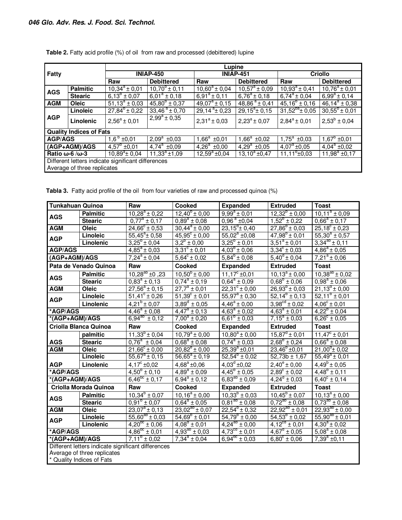|                                |                                                    | Lupine                   |                          |                           |                        |                           |                        |  |  |  |
|--------------------------------|----------------------------------------------------|--------------------------|--------------------------|---------------------------|------------------------|---------------------------|------------------------|--|--|--|
| <b>Fatty</b>                   |                                                    | <b>INIAP-450</b>         |                          |                           | <b>INIAP-451</b>       | <b>Criollo</b>            |                        |  |  |  |
|                                |                                                    | Raw                      | <b>Debittered</b>        | Raw                       | <b>Debittered</b>      | Raw                       | <b>Debittered</b>      |  |  |  |
| <b>AGS</b>                     | <b>Palmitic</b>                                    | $10,34^{\circ} \pm 0,01$ | $10,70^6 \pm 0,11$       | $10,60^{\circ} \pm 0,04$  | $10,57^a \pm 0,09$     | $10,93^{\circ}$ ± 0,41    | $10,76^a \pm 0,01$     |  |  |  |
|                                | <b>Stearic</b>                                     | $6,13^6 \pm 0,07$        | $6.01^a \pm 0.18$        | $6,91^a \pm 0,11$         | $6,76^a \pm 0,18$      | $6,74^a \pm 0,04$         | $6,99^a \pm 0,14$      |  |  |  |
| <b>AGM</b>                     | <b>Oleic</b>                                       | $51.13^{\circ} \pm 0.03$ | $45,80^{\circ} \pm 0,37$ | $\sqrt{49,07^a \pm 0,15}$ | $48,86^a \pm 0,41$     | $45,16^{b} \pm 0,16$      | $46,14^a \pm 0,38$     |  |  |  |
| <b>AGP</b>                     | Linoleic                                           | $27,84^{6} \pm 0,22$     | $33,46^{\circ} \pm 0,70$ | $29,14^{a}$ ± 0,23        | $29,15^{\circ}$ ± 0,15 | $31,52^{ba}$ ± 0,05       | $30,55^{\circ}$ ± 0,01 |  |  |  |
|                                | Linolenic                                          | $2,56^a \pm 0,01$        | $2,99^a \pm 0,35$        | $2,31^a \pm 0,03$         | $2,23^a \pm 0,07$      | $2,84^a \pm 0,01$         | $2,53^b \pm 0,04$      |  |  |  |
|                                | <b>Quality Indices of Fats</b>                     |                          |                          |                           |                        |                           |                        |  |  |  |
| <b>AGP/AGS</b>                 |                                                    | $1,6^b \pm 0,01$         | $\sqrt{2,09^a}$ ±0,03    | $1,66^a \pm 0,01$         | $1,66^a \pm 0,02$      | $\overline{1,75^a}$ ±0,03 | $1,67^{\circ}$ ±0,01   |  |  |  |
| (AGP+AGM)/AGS                  |                                                    | $4,57^{\circ}$ ±0,01     | $4,74^a \pm 0,09$        | $4,26^a \pm 0,00$         | $4,29^a \pm 0,05$      | $4,07^{\circ}$ ±0,05      | $4,04^a \pm 0,02$      |  |  |  |
| Ratio $\omega$ -6/ $\omega$ -3 |                                                    | $10,89^{\circ}$ ± 0,04   | $11,33^a \pm 1,09$       | $12,59^a \pm 0,04$        | $13,10^a \pm 0,47$     | $11,11^{6}$ ±0,03         | $11,98^a \pm 0,17$     |  |  |  |
|                                | Different letters indicate significant differences |                          |                          |                           |                        |                           |                        |  |  |  |
|                                | Average of three replicates                        |                          |                          |                           |                        |                           |                        |  |  |  |

| Table 2. Fatty acid profile (%) of oil from raw and processed (debittered) lupine |  |  |
|-----------------------------------------------------------------------------------|--|--|
|-----------------------------------------------------------------------------------|--|--|

**Tabla 3.** Fatty acid profile of the oil from four varieties of raw and processed quinoa (%)

| <b>Tunkahuan Quinoa</b>   |                                                    | Raw                                 | <b>Cooked</b>                    | <b>Expanded</b>               | <b>Extruded</b>             | <b>Toast</b>                      |  |  |
|---------------------------|----------------------------------------------------|-------------------------------------|----------------------------------|-------------------------------|-----------------------------|-----------------------------------|--|--|
| <b>AGS</b>                | <b>Palmitic</b>                                    | $10,28^a \pm 0,22$                  | $12,40^{\circ} \pm 0,00$         | $9,99^a \pm 0,01$             | $12,32^b \pm 0,00$          | $10,11^a \pm 0,09$                |  |  |
|                           | <b>Stearic</b>                                     | $0.77^a \pm 0.17$                   | $0.89^a \pm 0.08$                | $0,96^{\circ}$ ±0,04          | $1,52^{\circ} \pm 0,22$     | $0.66^a \pm 0.17$                 |  |  |
| <b>AGM</b>                | Oleic                                              | $24,66^{\circ} \pm 0,53$            | $30,44^a \pm 0,00$               | $23,15^{\circ}$ ± 0,40        | $27,86^{b} \pm 0,03$        | $25,18^{\circ} \pm 0,23$          |  |  |
| <b>AGP</b>                | Linoleic                                           | $55,45^{\circ}$ ± 0,58              | $45,95^{\circ} \pm 0,00$         | $55,02^a \pm 0,08$            | $47,98^{b} \pm 0,01$        | $55,30^a \pm 0.57$                |  |  |
|                           | Linolenic                                          | $3,25^{\circ} \pm 0,04$             | $3,2^{\circ} \pm 0,00$           | $3,25^{\circ} \pm 0,01$       | $3,51^a \pm 0,01$           | $3,34^{ab} \pm 0,11$              |  |  |
| <b>AGP/AGS</b>            |                                                    | $\sqrt{4,85^a} \pm 0,03$            | $3,31^{\circ} \pm 0,01$          | $4,03^{b} \pm 0,06$           | $3,34^{\circ} \pm 0,03$     | $\sqrt{4,86^a}$ ± 0,05            |  |  |
| (AGP+AGM)/AGS             |                                                    | $\sqrt{7}$ , 24 <sup>a</sup> ± 0,04 | $\overline{5,64}^{\circ}$ ± 0,02 | $5,84^b \pm 0,08$             | $5,40^d \pm 0,04$           | $7,21^{\circ}$ ± 0,06             |  |  |
|                           | Pata de Venado Quinoa                              | Raw                                 | <b>Cooked</b>                    | <b>Expanded</b>               | <b>Extruded</b>             | <b>Toast</b>                      |  |  |
|                           | <b>Palmitic</b>                                    | $10,28^{ab}$ ±0,23                  | $10,50^6 \pm 0,00$               | $11,17^{\circ}$ ±0,01         | $10,13^a \pm 0,00$          | $10,38^{ab} \pm 0,02$             |  |  |
| <b>AGS</b>                | <b>Stearic</b>                                     | $0.83^a \pm 0.13$                   | $0,74^a \pm 0,19$                | $0.64^a \pm 0.09$             | $0,68^{\circ} \pm 0,06$     | $0.98^a \pm 0.06$                 |  |  |
| <b>AGM</b>                | Oleic                                              | $27,56^a \pm 0,15$                  | $27.7^a \pm 0.01$                | $22,31^{\circ} \pm 0,00$      | $26,93^{b} \pm 0,03$        | $21,13^d \pm 0,00$                |  |  |
| <b>AGP</b>                | Linoleic                                           | $\overline{51,41^c \pm 0,26}$       | $51,39^{\circ} \pm 0,01$         | $\overline{55,97^a \pm 0,30}$ | $\overline{52,14^6}$ ± 0,13 | $52,11^{\circ} \pm 0,01$          |  |  |
|                           | Linolenic                                          | $4.21^b \pm 0.07$                   | $3,89^d \pm 0,05$                | $4.46^a \pm 0.00$             | $3,98^{\text{cd}} \pm 0,02$ | $\frac{1}{4.06^{\circ} \pm 0.01}$ |  |  |
| *AGP/AGS                  |                                                    | $4,46^a \pm 0,08$                   | $4,47^a \pm 0,13$                | $4.63^{\circ} \pm 0.02$       | $4,63^a \pm 0,01$           | $4,22^b \pm 0,04$                 |  |  |
| *(AGP+AGM)/AGS            |                                                    | $6,94^{ab} \pm 0,12$                | $7,00^a \pm 0,20$                | $6,61^{\circ} \pm 0,03$       | $7,15^a \pm 0,03$           | $6,26^{\circ} \pm 0,05$           |  |  |
| Criolla Blanca Quinoa     |                                                    | Raw                                 | <b>Cooked</b>                    | <b>Expanded</b>               | <b>Extruded</b>             | <b>Toast</b>                      |  |  |
|                           | palmitic                                           | $11,33^{6}$ ± 0,04                  | $10.79^a \pm 0.00$               | $10.80^a \pm 0.00$            | $15.87^{\circ}$ ± 0.01      | $11,47^{\circ} \pm 0,01$          |  |  |
| <b>AGS</b>                | <b>Stearic</b>                                     | $0.76^a \pm 0.04$                   | $0.68^a \pm 0.08$                | $0,74^a \pm 0,03$             | $2,68^{\circ} \pm 0,24$     | $0,66^a \pm 0,08$                 |  |  |
| <b>AGM</b>                | Oleic                                              | $21,66^{\circ} \pm 0,00$            | $20,82^e \pm 0,00$               | $25,39^a \pm 0,01$            | $23,46^{b} \pm 0,01$        | $21,00^{\circ}$ ± 0,02            |  |  |
|                           | Linoleic                                           | $55,67^a \pm 0,15$                  | $56,65^a \pm 0,19$               | $\overline{52,54^6 \pm 0,02}$ | $52,73b \pm 1,67$           | $55,49^a \pm 0,01$                |  |  |
| <b>AGP</b>                | Linolenic                                          | $4,17^{\circ}$ ±0,02                | $4,68^a \pm 0,06$                | $4.03^d \pm 0.02$             | $2.40^{\circ} \pm 0.00$     | $\sqrt{4,49^b}$ ± 0,05            |  |  |
| *AGP/AGS                  |                                                    | $4,50^6 \pm 0,10$                   | $4.89^a \pm 0.09$                | $4,45^{\circ} \pm 0,05$       | $2,89^{\circ} \pm 0,02$     | $4,48^b \pm 0,11$                 |  |  |
| $*(AGP+AGM)/AGS$          |                                                    | $6,46^{\circ}$ ± 0,17               | $6,94^a \pm 0,12$                | $6,83^{ab} \pm 0,09$          | $4,24^d \pm 0,03$           | $6,40^{\circ} \pm 0,14$           |  |  |
|                           | Criolla Morada Quinoa                              | Raw                                 | <b>Cooked</b>                    | <b>Expanded</b>               | <b>Extruded</b>             | <b>Toast</b>                      |  |  |
| <b>AGS</b>                | <b>Palmitic</b>                                    | $10.34^{b} \pm 0.07$                | $10,16^a \pm 0,00$               | $10.33^{b} \pm 0.03$          | $10,45^{\circ} \pm 0,07$    | $10.13^a \pm 0.00$                |  |  |
|                           | <b>Stearic</b>                                     | $0.91^{\circ} \pm 0.07$             | $0.64^a \pm 0.05$                | $0.81^{ab} \pm 0.08$          | $0.72^{ab} \pm 0.08$        | $0.73^{ab} \pm 0.08$              |  |  |
| <b>AGM</b>                | Oleic                                              | $23,07^a \pm 0,13$                  | $23,02^{ab} \pm 0,07$            | $22,54^{\circ} \pm 0,32$      | $22,92^{ab} \pm 0,01$       | $22,93^{ab} \pm 0,00$             |  |  |
| <b>AGP</b>                | <b>Linoleic</b>                                    | $55,60^{ab} \pm 0,03$               | $54,69^{\circ} \pm 0,01$         | $54,79^{\circ} \pm 0,00$      | $54,53^{\circ} \pm 0,02$    | $55,90^{ab} \pm 0,01$             |  |  |
|                           | Linolenic                                          | $4,20^{\circ}$ ± 0,06               | $4.08^d \pm 0.01$                | $4,24^{ab} \pm 0,00$          | $4.12^{\text{cd}} \pm 0.01$ | $4,30^a \pm 0,02$                 |  |  |
| *AGP/AGS                  |                                                    | $4,86^{bc} \pm 0,01$                | $4,93^{ab} \pm 0,03$             | $4,73^{cd} \pm 0,01$          | $4.67^{\circ} \pm 0.05$     | $5,08^a \pm 0,08$                 |  |  |
| *(AGP+AGM)/AGS            |                                                    | $7,11^{\circ} \pm 0,02$             | $7,34^a \pm 0,04$                | $6.94^{nc} \pm 0.03$          | $6,80^{\circ} \pm 0,06$     | $7,39^a \pm 0,11$                 |  |  |
|                           | Different letters indicate significant differences |                                     |                                  |                               |                             |                                   |  |  |
|                           | Average of three replicates                        |                                     |                                  |                               |                             |                                   |  |  |
| * Quality Indices of Fats |                                                    |                                     |                                  |                               |                             |                                   |  |  |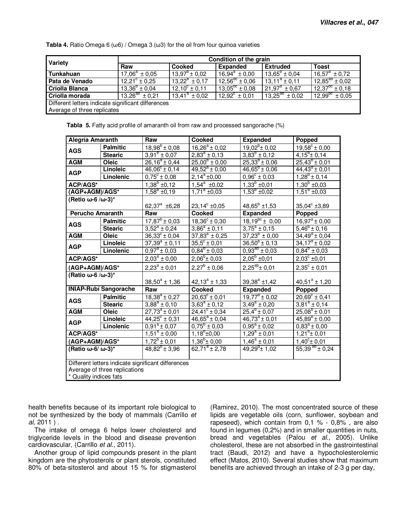**Tabla 4.** Ratio Omega 6 (ω6) / Omega 3 (ω3) for the oil from four quinoa varieties

| Variety                                            | Condition of the grain   |                          |                          |                          |                       |  |  |  |
|----------------------------------------------------|--------------------------|--------------------------|--------------------------|--------------------------|-----------------------|--|--|--|
|                                                    | Raw                      | Cooked                   | <b>Expanded</b>          | <b>Extruded</b>          | <b>Toast</b>          |  |  |  |
| Tunkahuan                                          | $17.06^a \pm 0.05$       | $13.97^{\circ}$ ± 0.02   | $16.94^a \pm 0.00$       | $13.65^{\circ} \pm 0.04$ | $16.57^a \pm 0.72$    |  |  |  |
| Pata de Venado                                     | $12.21^{\circ} \pm 0.25$ | $13.22^a \pm 0.17$       | $12.56^{\circ}$ ± 0.06   | $13.11^a \pm 0.11$       | $12.85^{ab} \pm 0.02$ |  |  |  |
| <b>Criolla Blanca</b>                              | $13.36^{b} \pm 0.04$     | $12,10^{\circ} \pm 0,11$ | $13,05^{bc} \pm 0.08$    | $21.97^a \pm 0.67$       | $12.37^{bc} \pm 0.18$ |  |  |  |
| Criolla morada                                     | $13.26^{ab} \pm 0.21$    | $13.41^a \pm 0.02$       | $12.92^{\circ} \pm 0.01$ | $13.25^{ab} \pm 0.02$    | $12.99^{nc} \pm 0.05$ |  |  |  |
| Different letters indicate significant differences |                          |                          |                          |                          |                       |  |  |  |
| Average of three replicates                        |                          |                          |                          |                          |                       |  |  |  |

| Tabla 5. Fatty acid profile of amaranth oil from raw and processed sangorache (%) |
|-----------------------------------------------------------------------------------|
|-----------------------------------------------------------------------------------|

| Alegría Amaranth                                                                                                                                                                                                                        |                               | Raw                                                | <b>Cooked</b>            | <b>Expanded</b>                  | Popped                   |  |  |
|-----------------------------------------------------------------------------------------------------------------------------------------------------------------------------------------------------------------------------------------|-------------------------------|----------------------------------------------------|--------------------------|----------------------------------|--------------------------|--|--|
| <b>AGS</b>                                                                                                                                                                                                                              | <b>Palmitic</b>               | $18,98^{b} \pm 0,08$                               | $16,26^a \pm 0,02$       | $19,02^b \pm 0,02$               | $19,58^{\circ} \pm 0,00$ |  |  |
|                                                                                                                                                                                                                                         | <b>Stearic</b>                | $3,91^{\circ} \pm 0,07$                            | $2,83^{\circ} \pm 0,13$  | $3,83^{b} \pm 0,12$              | $4,15^{\circ}$ ± 0,14    |  |  |
| <b>AGM</b>                                                                                                                                                                                                                              | Oleic                         | $26,16^a \pm 0,44$                                 | $25,00^6 \pm 0,00$       | $25,33^{\circ} \pm 0,06$         | $25,43^{\circ} \pm 0,01$ |  |  |
| <b>AGP</b>                                                                                                                                                                                                                              | Linoleic                      | $46,06^{\circ} \pm 0,14$                           | $49,52^a \pm 0,00$       | $46,65^{\circ} \pm 0,06$         | $44,43^{\circ} \pm 0,01$ |  |  |
|                                                                                                                                                                                                                                         | Linolenic                     | $0.75^{\circ} \pm 0.08$                            | $2,14^a \pm 0,00$        | $0,96^{\circ} \pm 0,03$          | $1,28^b \pm 0,14$        |  |  |
| ACP/AGS*                                                                                                                                                                                                                                |                               | $1,38^b \pm 0,12$                                  | $\frac{1}{1,54^a}$ ±0,02 | $1,33^b \pm 0,01$                | $1,30^b \pm 0,03$        |  |  |
| (AGP+AGM)/AGS*                                                                                                                                                                                                                          |                               | $1,58^{\circ}$ ±0,19                               | $1,71^a \pm 0,03$        | $1,53^{\circ}$ ±0,02             | $1,51^{\circ}$ ±0,03     |  |  |
| (Retio $\omega$ -6/ $\omega$ -3)*                                                                                                                                                                                                       |                               |                                                    |                          |                                  |                          |  |  |
|                                                                                                                                                                                                                                         |                               | 62,37 $^{\rm a}$ ±6,28                             | $23,14^{\circ}$ ±0,05    | $48,65^{\circ}$ ±1,53            | $35,04^{\circ}$ ±3,89    |  |  |
| <b>Perucho Amaranth</b>                                                                                                                                                                                                                 |                               | Raw                                                | Cooked                   | <b>Expanded</b>                  | Popped                   |  |  |
| <b>AGS</b>                                                                                                                                                                                                                              | <b>Palmitic</b>               | $17,87^b \pm 0,03$                                 | $18,36^{\circ} \pm 0,30$ | $\overline{18,19^{bc}} \pm 0,00$ | $16,97^a \pm 0,00$       |  |  |
|                                                                                                                                                                                                                                         | <b>Stearic</b>                | $3.52^a \pm 0.24$<br>$36,33^{c} \pm 0,04$          | $3,86^a \pm 0,11$        | $3,75^{\circ} \pm 0,15$          | $5,46^{\circ} \pm 0,16$  |  |  |
|                                                                                                                                                                                                                                         | <b>AGM</b><br>Oleic           |                                                    | $37,83^a \pm 0,25$       | $37,23^{6} \pm 0,00$             | $34,49^d \pm 0,04$       |  |  |
| <b>AGP</b>                                                                                                                                                                                                                              | Linoleic                      | $37,39^a \pm 0,11$                                 | $35,5^{\circ} \pm 0,01$  | $36,50^{\circ}$ ± 0,13           | $34,17^{\circ}$ ± 0,02   |  |  |
|                                                                                                                                                                                                                                         | Linolenic                     | $0.97^{\circ} \pm 0.03$                            | $0,84^{\circ} \pm 0,03$  | $0,93^{ab} \pm 0,03$             | $0,84^{\circ} \pm 0,03$  |  |  |
| ACP/AGS*                                                                                                                                                                                                                                |                               | $2,03^a \pm 0,00$                                  | $2,06^{\circ}$ ± 0,03    | $2,05^b \pm 0,01$                | $2,03^{\circ}$ ±0,01     |  |  |
|                                                                                                                                                                                                                                         | (AGP+AGM)/AGS*                |                                                    | $2,27^b \pm 0,06$        | $2,25^{ab}$ ± 0,01               | $2,35^{\circ} \pm 0,01$  |  |  |
| (Ratio ω-6 /ω-3)*                                                                                                                                                                                                                       |                               |                                                    |                          |                                  |                          |  |  |
|                                                                                                                                                                                                                                         |                               | $38,50^a \pm 1,36$                                 | $42,13^a \pm 1,33$       | $39,38^a \pm 1,42$               | $40,51^a \pm 1,20$       |  |  |
|                                                                                                                                                                                                                                         | <b>INIAP-Rubí Sangorache</b>  | Raw                                                | Cooked                   | <b>Expanded</b>                  | Popped                   |  |  |
| <b>AGS</b>                                                                                                                                                                                                                              | <b>Palmitic</b>               | $18,38^a \pm 0,27$                                 | $20,63^{\circ} \pm 0,01$ | $19,77^{\circ}$ ± 0,02           | $20,69^{\circ} \pm 0,41$ |  |  |
|                                                                                                                                                                                                                                         | <b>Stearic</b>                | $3,88^a \pm 0,10$                                  | $3.63^a \pm 0.12$        | $3,49^a \pm 0,20$                | $3,81^a \pm 0,14$        |  |  |
| <b>AGM</b>                                                                                                                                                                                                                              | Oleic                         | $27,73^{\circ} \pm 0,01$                           | $24,41^{\circ} \pm 0,34$ | $25,4^b \pm 0,07$                | $25,08^b \pm 0,01$       |  |  |
| <b>AGP</b>                                                                                                                                                                                                                              | Linoleic                      | $44,25^{\circ} \pm 0,31$                           | $46,65^a \pm 0,04$       | $46,73^a \pm 0,01$               | $45,89^{\circ} \pm 0,00$ |  |  |
|                                                                                                                                                                                                                                         | Linolenic                     | $0,91^a \pm 0,07$                                  | $0,75^{\circ} \pm 0,03$  | $0,95^a \pm 0,02$                | $0,83^a \pm 0,00$        |  |  |
| <b>ACP/AGS*</b>                                                                                                                                                                                                                         |                               | $1,51^a \pm 0,00$                                  | $1,18^{b} \pm 0,00$      | $1,29^a \pm 0,01$                | $1,21^b \pm 0,01$        |  |  |
| (AGP+AGM)/AGS*                                                                                                                                                                                                                          |                               | $1,72^b \pm 0,01$                                  | $1,36^{b} \pm 0,00$      | $1,46^a \pm 0,01$                | $1,40^{\circ}$ ± 0.01    |  |  |
| (Ratio ω-6/ ω-3)*                                                                                                                                                                                                                       |                               | $48.82^{\circ}$ ± 3.96                             | $62,71^a \pm 2,78$       | $49,29^{\circ}$ ± 1,02           | 55,39 $^{ab}$ ± 0,24     |  |  |
|                                                                                                                                                                                                                                         |                               | Different letters indicate significant differences |                          |                                  |                          |  |  |
|                                                                                                                                                                                                                                         | Average of three replications |                                                    |                          |                                  |                          |  |  |
| $\bullet$ $\bullet$ . The contract of the contract of the contract of the contract of the contract of the contract of the contract of the contract of the contract of the contract of the contract of the contract of the contract of t |                               |                                                    |                          |                                  |                          |  |  |

<sup>'</sup> Quality indices fats

health benefits because of its important role biological to not be synthesized by the body of mammals (Carrillo et al, 2011 ) .

The intake of omega 6 helps lower cholesterol and triglyceride levels in the blood and disease prevention cardiovascular, (Carrillo et al., 2011).

Another group of lipid compounds present in the plant kingdom are the phytosterols or plant sterols, constituted 80% of beta-sitosterol and about 15 % for stigmasterol

(Ramirez, 2010). The most concentrated source of these lipids are vegetable oils (corn, sunflower, soybean and rapeseed), which contain from 0,1 % - 0,8% , are also found in legumes (0,2%) and in smaller quantities in nuts, bread and vegetables (Palou et al., 2005). Unlike cholesterol, these are not absorbed in the gastrointestinal tract (Baudi, 2012) and have a hypocholesterolemic effect (Matos, 2010). Several studies show that maximum benefits are achieved through an intake of 2-3 g per day,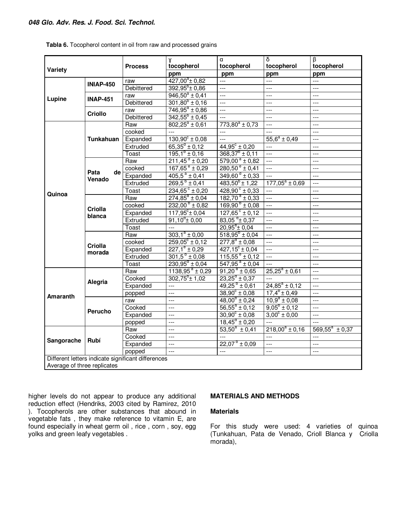## **048 Glo. Adv. Res. J. Food. Sci. Technol.**

|                             |                          |                                                    | α<br>γ                         |                                 | $\overline{\delta}$     | $\overline{B}$      |  |
|-----------------------------|--------------------------|----------------------------------------------------|--------------------------------|---------------------------------|-------------------------|---------------------|--|
|                             |                          | <b>Process</b>                                     | tocopherol                     | tocopherol                      | tocopherol              | tocopherol          |  |
| Variety                     |                          |                                                    | ppm                            | ppm                             | ppm                     | ppm                 |  |
|                             |                          | raw                                                | $427,00^{\circ}$ ± 0,82        | ---                             | ---                     | $\overline{a}$      |  |
|                             | <b>INIAP-450</b>         | Debittered                                         | $392,95^b \pm 0,86$            | $---$                           | $---$                   | $---$               |  |
| Lupine                      |                          | raw                                                | $946,50^a \pm 0,41$            | ---                             | ---                     | ---                 |  |
|                             | <b>INAP-451</b>          | Debittered                                         | $301,80^{\circ} \pm 0,16$      | $\overline{a}$                  | $\overline{a}$          | $---$               |  |
|                             | <b>Criollo</b>           | raw                                                | $746,95^a \pm 0,86$            | $---$                           | $---$                   | $---$               |  |
|                             |                          | Debittered                                         | $\overline{342,55^b} \pm 0,45$ | $---$                           | ---                     | ---                 |  |
|                             |                          | Raw                                                | $802,25^a \pm 0,61$            | $773,80^a \pm 0,73$             | $\overline{a}$          | $---$               |  |
|                             |                          | cooked                                             | 22                             | ---                             | $\overline{a}$          | $---$               |  |
|                             | Tunkahuan                | Expanded                                           | $130,90^{\circ} \pm 0,08$      | $\overline{a}$                  | $55,6^a \pm 0,49$       | $---$               |  |
|                             |                          | Extruded                                           | $65,35^d \pm 0,12$             | $44,95^{\circ} \pm 0,20$        | $\overline{a}$          | $---$               |  |
|                             |                          | Toast                                              | $195.1^{\circ} \pm 0.16$       | $368,37^{\circ}$ ± 0,11         | $\overline{a}$          | $---$               |  |
|                             |                          | Raw                                                | $211,45^{\circ} \pm 0,20$      | $579,00^{\text{ a}} \pm 0,82$   | $\overline{a}$          | $---$               |  |
|                             |                          | cooked                                             | $167,65^{\circ} \pm 0,29$      | $280,50^{\circ} \pm 0,41$       | $---$                   | $---$               |  |
|                             | Pata<br>de               | Expanded                                           | $405.5^{\text{a}} \pm 0.41$    | $349,60^{\circ}$ ± 0,33         | ---                     | $---$               |  |
|                             | Venado                   | Extruded                                           | $269.5^{b} \pm 0.41$           | $483,50^{b}$ ± 1,22             | $177,05^a \pm 0,69$     | $\overline{a}$      |  |
|                             |                          | Toast                                              | $234,65^{\circ} \pm 0,20$      | $428,90^{\circ} \pm 0,33$       | $\overline{a}$          | $---$               |  |
| Quinoa                      | <b>Criolla</b><br>blanca | Raw                                                | $274,85^a \pm 0,04$            | $182,70^a \pm 0,33$             | $---$                   | $---$               |  |
|                             |                          | cooked                                             | $232,00^{\circ}$ ± 0,82        | $169,90^{\circ} \pm 0,08$       | $\overline{a}$          | $\overline{a}$      |  |
|                             |                          | Expanded                                           | $117,95^{\circ}$ ± 0,04        | $127,65^{\circ} \pm 0,12$       | $\overline{a}$          | $---$               |  |
|                             |                          | Extruded                                           | $91.10^{\circ}$ ± 0.00         | $83.05$ <sup>d</sup> $\pm$ 0.37 | $\overline{a}$          | $---$               |  |
|                             |                          | Toast                                              | $\overline{a}$                 | $20,95^{\circ}$ ± 0,04          | $\overline{a}$          | $---$               |  |
|                             |                          | Raw                                                | $303.1^a \pm 0.00$             | $518,95^{b} \pm 0,04$           | $\overline{a}$          | $---$               |  |
|                             |                          | cooked                                             | $259,05^{\circ} \pm 0,12$      | $277.8^d \pm 0.08$              | $\overline{a}$          | $\overline{a}$      |  |
|                             | Criolla                  | Expanded                                           | $227,1^e \pm 0,29$             | $427,15^{\circ} \pm 0,04$       | ---                     | $---$               |  |
|                             | morada                   | Extruded                                           | $301,5^b \pm 0.08$             | $115,55^{\circ} \pm 0,12$       | $\overline{a}$          | $\overline{a}$      |  |
|                             |                          | <b>Toast</b>                                       | $230,95^{\circ} \pm 0,04$      | $547,95^{\text{a}} \pm 0,04$    | ---                     | $---$               |  |
|                             |                          | Raw                                                | $1138,95^{\text{a}} \pm 0.29$  | $91,20^{a} \pm 0.65$            | $25,25^a \pm 0,61$      | $\cdots$            |  |
|                             | Alegria                  | Cooked                                             | $302,75^{b}$ ± 1,02            | $23,25^{\circ} \pm 0,37$        |                         | $---$               |  |
|                             |                          | Expanded                                           | $\overline{a}$                 | $49,25^{o} \pm 0,61$            | $24,85^a \pm 0,12$      | $\overline{a}$      |  |
| <b>Amaranth</b>             |                          | popped                                             | $\overline{a}$                 | $38,90^{\circ} \pm 0.08$        | $17,4^b \pm 0,49$       | $\overline{a}$      |  |
|                             |                          | raw                                                | $\overline{a}$                 | $48,00^{6} \pm 0,24$            | $10,9^a \pm 0,08$       | $\overline{a}$      |  |
|                             | Perucho                  | Cooked                                             | $---$                          | $56,55^a \pm 0,12$              | $9,05^{\circ} \pm 0,12$ | $---$               |  |
|                             |                          | Expanded                                           | ---                            | $30,90^{\circ} \pm 0,08$        | $3,00^{\circ} \pm 0,00$ | $---$               |  |
|                             |                          | popped                                             | $\overline{a}$                 | $18,45^{\circ} \pm 0,20$        | $---$                   | $\overline{a}$      |  |
|                             |                          | Raw                                                | $\overline{a}$                 | $53,50^a \pm 0,41$              | $218,00^a \pm 0,16$     | $569,55^a \pm 0,37$ |  |
| Sangorache                  | Rubí                     | Cooked                                             | $---$                          |                                 | $---$                   | $---$               |  |
|                             |                          | Expanded                                           | $\overline{a}$                 | $22,07^{\circ} \pm 0,09$        | $\overline{a}$          | $---$               |  |
|                             |                          | popped                                             | $\frac{1}{2}$                  | $\overline{a}$                  | $\overline{a}$          | $\overline{a}$      |  |
|                             |                          | Different letters indicate significant differences |                                |                                 |                         |                     |  |
| Average of three replicates |                          |                                                    |                                |                                 |                         |                     |  |

**Tabla 6.** Tocopherol content in oil from raw and processed grains

higher levels do not appear to produce any additional reduction effect (Hendriks, 2003 cited by Ramirez, 2010 ). Tocopherols are other substances that abound in vegetable fats , they make reference to vitamin E, are found especially in wheat germ oil , rice , corn , soy, egg yolks and green leafy vegetables .

## **MATERIALS AND METHODS**

## **Materials**

For this study were used: 4 varieties of quinoa (Tunkahuan, Pata de Venado, Crioll Blanca y Criolla morada),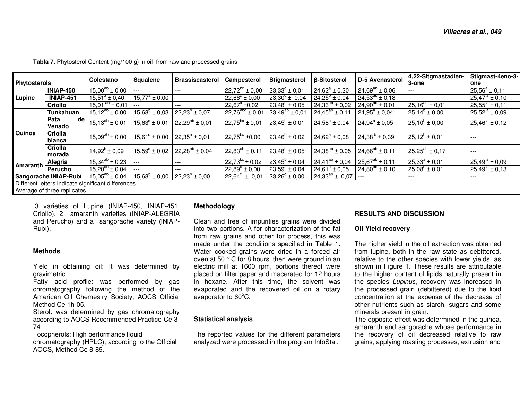| <b>Phytosterols</b> |                                   | Colestano                                          | Squalene                 | Brassiscasterol       | Campesterol                                              | Stigmasterol             | β-Sitosterol             | D-5 Avenasterol       | 4,22-Sitgmastadien-      | Stigmast-4eno-3-             |
|---------------------|-----------------------------------|----------------------------------------------------|--------------------------|-----------------------|----------------------------------------------------------|--------------------------|--------------------------|-----------------------|--------------------------|------------------------------|
|                     |                                   |                                                    |                          |                       |                                                          |                          |                          |                       | 3-one                    | one                          |
| Lupine              | <b>INIAP-450</b>                  | $15,00^{ab} \pm 0,00$                              | ---                      | ---                   | $22.72^{bc} \pm 0.00$                                    | $23.33^{\circ} \pm 0.01$ | $24.62^a \pm 0.20$       | $24,69^{ab} \pm 0,06$ | ---                      | $25,56^a \pm 0,11$           |
|                     | <b>INIAP-451</b>                  | $15.51^a \pm 0.40$                                 | $15,77^{\circ} \pm 0,00$ | $---$                 | $22,66^{\circ} \pm 0,00$                                 | $\sqrt{23,30^c}$ ± 0,04  | $24.25^{\circ} \pm 0.04$ | $24,53^{ab} \pm 0,18$ | $---$                    | $25,47^{\text{a}} \pm 0,10$  |
|                     | <b>Criollo</b>                    | $15,01^{ab} \pm 0,01$                              | $---$                    | $---$                 | $22,67^{\circ}$ ±0,02                                    | $23.48^{\circ} \pm 0.05$ | $24,33^{ab} \pm 0,02$    | $24,90^{ab} \pm 0,01$ | $25,16^{ab} \pm 0,01$    | $25.55^{\text{a}} \pm 0.11$  |
| Quinoa              | Tunkahuan                         | $15,12^{ab} \pm 0,00$                              | $15,68^{\circ} \pm 0,03$ | $22,23^{6} \pm 0,07$  | $22,76^{\text{abc}} \pm 0.01$ 23,49 <sup>ab</sup> ± 0.01 |                          | $24,45^{ab} \pm 0,11$    | $24.95^a \pm 0.04$    | $25,14^{\circ} \pm 0,00$ | $25,52^a \pm 0,09$           |
|                     | Pata<br>de <sub>1</sub><br>Venado | $15,13^{ab} \pm 0,01$                              | $15.63^{\circ} \pm 0.01$ | $22.29^{ab} \pm 0.01$ | $22.75^{bc} \pm 0.01$                                    | $23,45^b \pm 0,01$       | $24.58^a \pm 0.04$       | $24.94^a \pm 0.05$    | $25,10^{b} \pm 0,00$     | $25,46^{\text{ a}} \pm 0,12$ |
|                     | Criolla<br>blanca                 | $15,09^{ab} \pm 0,00$                              | $15,61^{\circ} \pm 0,00$ | $22,35^a \pm 0,01$    | $22,75^{bc}$ ±0,00                                       | $23,46^b \pm 0,02$       | $24.62^a \pm 0.08$       | $24,38^{b} \pm 0,39$  | $25,12^{b} \pm 0,01$     | $---$                        |
|                     | Criolla<br>morada                 | $14.92^b \pm 0.09$                                 | $15.59^{\circ} \pm 0.02$ | $22,28^{ab} \pm 0,04$ | $22,83^{ab} \pm 0,11$                                    | $23,48^b \pm 0,05$       | $24,38^{ab} \pm 0,05$    | $24,66^{ab} \pm 0,11$ | $25,25^{ab} \pm 0,17$    | $---$                        |
|                     | Alegria                           | $15,34^{ab} \pm 0,23$                              | $---$                    | $---$                 | $22,73^{bc}$ ± 0.02                                      | $23,45^{\circ} \pm 0,04$ | $24,41^{ab} \pm 0,04$    | $25,67^{ab} \pm 0,11$ | $25,33^a \pm 0,01$       | $25,49^{\text{ a}} \pm 0,09$ |
|                     | Amaranth Perucho                  | $15,20^{ab} \pm 0,04$                              | $---$                    | $---$                 | $\sqrt{22,89^a} \pm 0,00$                                | $23.59^a \pm 0.04$       | $24.61^a \pm 0.05$       | $24,80^{ab} \pm 0,10$ | $25.08^{b} \pm 0.01$     | $25,49^{\text{ a}} \pm 0,13$ |
|                     | Sangorache INIAP-Rubí             | $15,05^{ab} \pm 0,04$                              | $15,68^{\circ} \pm 0,00$ | $22,23^{b} \pm 0,00$  | $22,64^{\circ} \pm 0,01$                                 | $23,26^{\circ} \pm 0,00$ | $24.33^{ab} \pm 0.07$    | $---$                 | $---$                    | ---                          |
|                     |                                   | Different letters indicate significant differences |                          |                       |                                                          |                          |                          |                       |                          |                              |
|                     | Average of three replicates       |                                                    |                          |                       |                                                          |                          |                          |                       |                          |                              |

**Tabla 7.** Phytosterol Content (mg/100 g) in oil from raw and processed grains

,3 varieties of Lupine (INIAP-450, INIAP-451, Criollo), 2 amaranth varieties (INIAP-ALEGRÍA and Perucho) and a sangorache variety (lNlAP-Rubí).

#### **Methods**

Yield in obtaining oil: It was determined by gravimetric

 Fatty acid profile: was performed by gas chromatography following the method of the American Oil Chemestry Society, AOCS Official Method Ce 1h-05.

 Sterol: was determined by gas chromatography according to AOCS Recommended Practice-Ce 3-74.

 Tocopherols: High performance liquid chromatography (HPLC), according to the Official AOCS, Method Ce 8-89.

#### **Methodology**

Clean and free of impurities grains were divided into two portions. A for characterization of the fat from raw grains and other for process, this was made under the conditions specified in Table 1. Water cooked grains were dried in a forced air oven at 50  $\degree$  C for 8 hours, then were ground in an electric mill at 1600 rpm, portions thereof were placed on filter paper and macerated for 12 hours in hexane. After this time, the solvent was evaporated and the recovered oil on a rotary evaporator to 60°C.

#### **Statistical analysis**

The reported values for the different parameters analyzed were processed in the program InfoStat.

#### **RESULTS AND DISCUSSION**

#### **Oil Yield recovery**

The higher yield in the oil extraction was obtained from lupine, both in the raw state as debittered, relative to the other species with lower yields, as shown in Figure 1. These results are attributable to the higher content of lipids naturally present in the species Lupinus, recovery was increased in the processed grain (debittered) due to the lipid concentration at the expense of the decrease of other nutrients such as starch, sugars and some minerals present in grain.

 The opposite effect was determined in the quinoa, amaranth and sangorache whose performance in the recovery of oil decreased relative to raw grains, applying roasting processes, extrusion and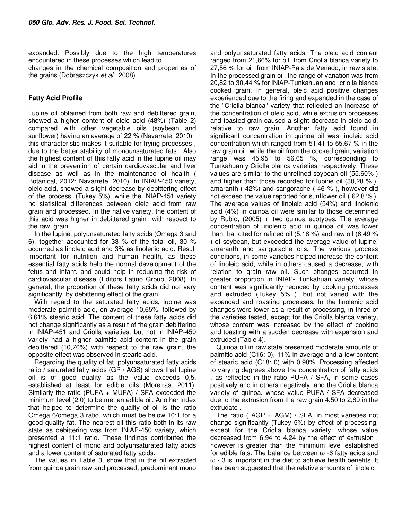expanded. Possibly due to the high temperatures encountered in these processes which lead to changes in the chemical composition and properties of the grains (Dobraszczyk et al., 2008).

## **Fatty Acid Profile**

Lupine oil obtained from both raw and debittered grain, showed a higher content of oleic acid (48%) (Table 2) compared with other vegetable oils (soybean and sunflower) having an average of 22 % (Navarrete, 2010) , this characteristic makes it suitable for frying processes , due to the better stability of monounsaturated fats . Also the highest content of this fatty acid in the lupine oil may aid in the prevention of certain cardiovascular and liver disease as well as in the maintenance of health ( Botanical, 2012; Navarrete, 2010). In INIAP-450 variety, oleic acid, showed a slight decrease by debittering effect of the process, (Tukey 5%), while the INIAP-451 variety no statistical differences between oleic acid from raw grain and processed. In the native variety, the content of this acid was higher in debittered grain with respect to the raw grain.

In the lupine, polyunsaturated fatty acids (Omega 3 and 6), together accounted for 33 % of the total oil, 30 % occurred as linoleic acid and 3% as linolenic acid. Result important for nutrition and human health, as these essential fatty acids help the normal development of the fetus and infant, and could help in reducing the risk of cardiovascular disease (Editors Latino Group, 2008). In general, the proportion of these fatty acids did not vary significantly by debittering effect of the grain.

With regard to the saturated fatty acids, lupine was moderate palmitic acid, on average 10,65%, followed by 6,61% stearic acid. The content of these fatty acids did not change significantly as a result of the grain debittering in lNlAP-451 and Criolla varieties, but not in lNlAP-450 variety had a higher palmitic acid content in the grain debittered (10,70%) with respect to the raw grain, the opposite effect was observed in stearic acid.

Regarding the quality of fat, polyunsaturated fatty acids ratio / saturated fatty acids (GP / AGS) shows that lupine oil is of good quality as the value exceeds 0,5, established at least for edible oils (Moreiras, 2011). Similarly the ratio (PUFA + MUFA) / SFA exceeded the minimum level (2.0) to be met an edible oil. Another index that helped to determine the quality of oil is the ratio Omega 6/omega 3 ratio, which must be below 10:1 for a good quality fat. The nearest oil this ratio both in its raw state as debittering was from INIAP-450 variety, which presented a 11:1 ratio. These findings contributed the highest content of mono and polyunsaturated fatty acids and a lower content of saturated fatty acids.

The values in Table 3, show that in the oil extracted from quinoa grain raw and processed, predominant mono

and polyunsaturated fatty acids. The oleic acid content ranged from 21,66% for oil from Criolla blanca variety to 27,56 % for oil from INIAP-Pata de Venado, in raw state. In the processed grain oil, the range of variation was from 20,82 to 30,44 % for lNlAP-Tunkahuan and criolla blanca cooked grain. In general, oleic acid positive changes experienced due to the firing and expanded in the case of the "Criolla blanca" variety that reflected an increase of the concentration of oleic acid, while extrusion processes and toasted grain caused a slight decrease in oleic acid, relative to raw grain. Another fatty acid found in significant concentration in quinoa oil was linoleic acid concentration which ranged from 51,41 to 55,67 % in the raw grain oil, while the oil from the cooked grain, variation range was 45,95 to 56,65 %, corresponding to Tunkahuan y Criolla blanca varieties, respectively. These values are similar to the unrefined soybean oil (55.60% ) and higher than those recorded for lupine oil (30,28 % ), amaranth ( 42%) and sangorache ( 46 % ), however did not exceed the value reported for sunflower oil ( 62,8 % ). The average values of linoleic acid (54%) and linolenic acid (4%) in quinoa oil were similar to those determined by Rubio, (2005) in two quinoa ecotypes. The average concentration of linolenic acid in quinoa oil was lower than that cited for refined oil (5,18 %) and raw oil (6,49 % ) of soybean, but exceeded the average value of lupine, amaranth and sangorache oils. The various process conditions, in some varieties helped increase the content of linoleic acid, while in others caused a decrease, with relation to grain raw oil. Such changes occurred in greater proportion in INIAP- Tunkahuan variety, whose content was significantly reduced by cooking processes and extruded (Tukey 5% ), but not varied with the expanded and roasting processes. In the linolenic acid changes were lower as a result of processing, in three of the varieties tested, except for the Criolla blanca variety, whose content was increased by the effect of cooking and toasting with a sudden decrease with expansion and extruded (Table 4).

Quinoa oil in raw state presented moderate amounts of palmitic acid (C16: 0), 11% in average and a low content of stearic acid (C18: 0) with 0,90%. Processing affected to varying degrees above the concentration of fatty acids , as reflected in the ratio PUFA / SFA, in some cases positively and in others negatively, and the Criolla blanca variety of quinoa, whose value PUFA / SFA decreased due to the extrusion from the raw grain 4,50 to 2,89 in the extrudate .

The ratio ( $AGP + AGM$ ) / SFA, in most varieties not change significantly (Tukey 5%) by effect of processing, except for the Criolla blanca variety, whose value decreased from 6,94 to 4,24 by the effect of extrusion , however is greater than the minimum level established for edible fats. The balance between  $\omega$  -6 fatty acids and ω - 3 is important in the diet to achieve health benefits. It has been suggested that the relative amounts of linoleic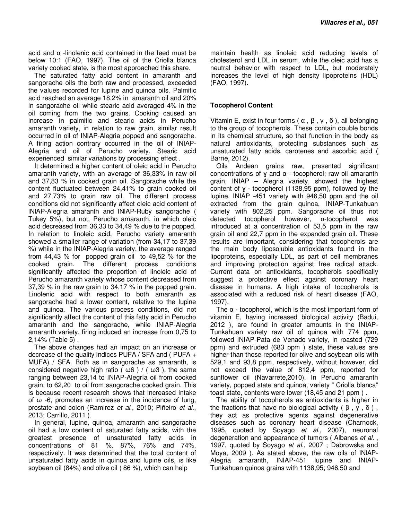acid and  $α$  -linolenic acid contained in the feed must be below 10:1 (FAO, 1997). The oil of the Criolla blanca variety cooked state, is the most approached this share.

The saturated fatty acid content in amaranth and sangorache oils the both raw and processed, exceeded the values recorded for lupine and quinoa oils. Palmitic acid reached an average 18,2% in amaranth oil and 20% in sangorache oil while stearic acid averaged 4% in the oil coming from the two grains. Cooking caused an increase in palmitic and stearic acids in Perucho amaranth variety, in relation to raw grain, similar result occurred in oil of INIAP-Alegria popped and sangorache. A firing action contrary occurred in the oil of INIAP-Alegria and oil of Perucho variety. Stearic acid experienced similar variations by processing effect .

It determined a higher content of oleic acid in Perucho amaranth variety, with an average of 36,33% in raw oil and 37,83 % in cooked grain oil. Sangorache while the content fluctuated between 24,41% to grain cooked oil and 27,73% to grain raw oil. The different process conditions did not significantly affect oleic acid content of lNlAP-Alegria amaranth and lNlAP-Ruby sangorache ( Tukey 5%), but not, Perucho amaranth, in which oleic acid decreased from 36,33 to 34,49 % due to the popped. In relation to linoleic acid, Perucho variety amaranth showed a smaller range of variation (from 34,17 to 37,39 %) while in the INIAP-Alegria variety, the average ranged from 44,43 % for popped grain oil to 49,52 % for the The different process conditions significantly affected the proportion of linoleic acid of Perucho amaranth variety whose content decreased from 37,39 % in the raw grain to 34,17 % in the popped grain. Linolenic acid with respect to both amaranth as sangorache had a lower content, relative to the lupine and quinoa. The various process conditions, did not significantly affect the content of this fatty acid in Perucho amaranth and the sangorache, while INIAP-Alegria amaranth variety, firing induced an increase from 0,75 to 2,14% (Table 5) .

The above changes had an impact on an increase or decrease of the quality indices PUFA / SFA and ( PUFA + MUFA) / SFA. Both as in sangorache as amaranth, is considered negative high ratio ( $\omega$ 6) / ( $\omega$ 3), the same ranging between 23,14 to INIAP-Alegría oil from cooked grain, to 62,20 to oil from sangorache cooked grain. This is because recent research shows that increased intake of ω -6, promotes an increase in the incidence of lung, prostate and colon (Ramirez et al., 2010; Piñeiro et al., 2013; Carrillo, 2011 ).

In general, lupine, quinoa, amaranth and sangorache oil had a low content of saturated fatty acids, with the greatest presence of unsaturated fatty acids in concentrations of 81 %, 87%, 76% and 74%, respectively. It was determined that the total content of unsaturated fatty acids in quinoa and lupine oils, is like soybean oil (84%) and olive oil ( 86 %), which can help

maintain health as linoleic acid reducing levels of cholesterol and LDL in serum, while the oleic acid has a neutral behavior with respect to LDL, but moderately increases the level of high density lipoproteins (HDL) (FAO, 1997).

## **Tocopherol Content**

Vitamin E, exist in four forms ( $\alpha$ ,  $\beta$ ,  $\gamma$ ,  $\delta$ ), all belonging to the group of tocopherols. These contain double bonds in its chemical structure, so that function in the body as natural antioxidants, protecting substances such as unsaturated fatty acids, carotenes and ascorbic acid ( Barrie, 2012).

Oils Andean grains raw, presented significant concentrations of  $\gamma$  and  $\alpha$  - tocopherol; raw oil amaranth grain, INIAP – Alegria variety, showed the highest content of  $y -$  tocopherol (1138.95 ppm), followed by the lupine, INIAP -451 variety with 946,50 ppm and the oil extracted from the grain quinoa, INIAP-Tunkahuan variety with 802,25 ppm. Sangorache oil thus not detected tocopherol however, α-tocopherol was introduced at a concentration of 53,5 ppm in the raw grain oil and 22,7 ppm in the expanded grain oil. These results are important, considering that tocopherols are the main body liposoluble antioxidants found in the lipoproteins, especially LDL, as part of cell membranes and improving protection against free radical attack. Current data on antioxidants, tocopherols specifically suggest a protective effect against coronary heart disease in humans. A high intake of tocopherols is associated with a reduced risk of heart disease (FAO, 1997).

The  $\alpha$  - tocopherol, which is the most important form of vitamin E, having increased biological activity (Badui, 2012 ), are found in greater amounts in the INIAP-Tunkahuan variety raw oil of quinoa with 774 ppm, followed INIAP-Pata de Venado variety, in roasted (729 ppm) and extruded (683 ppm ) state, these values are higher than those reported for olive and soybean oils with 529,1 and 93,8 ppm, respectively, without however, did not exceed the value of 812,4 ppm, reported for sunflower oil (Navarrete,2010). In Perucho amaranth variety, popped state and quinoa, variety " Criolla blanca" toast state, contents were lower (18,45 and 21 ppm ) .

The ability of tocopherols as antioxidants is higher in the fractions that have no biological activity ( $\beta$ ,  $\gamma$ , δ), they act as protective agents against degenerative diseases such as coronary heart disease (Charnock, 1995, quoted by Soyago et al., 2007), neuronal degeneration and appearance of tumors (Albanes et al., 1997, quoted by Sovago *et al.*, 2007 : Dabrowska and Moya, 2009 ). As stated above, the raw oils of lNlAP-Alegria amaranth, INIAP-451 lupine and INIAP-Tunkahuan quinoa grains with 1138,95; 946,50 and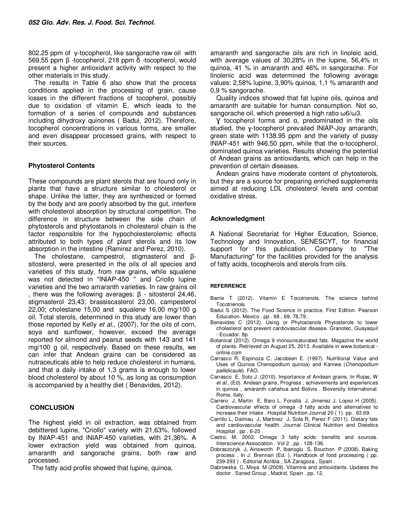802,25 ppm of γ-tocopherol, like sangorache raw oil with 569,55 ppm β -tocopherol, 218 ppm δ -tocopherol, would present a higher antioxidant activity with respect to the other materials in this study.

The results in Table 6 also show that the process conditions applied in the processing of grain, cause losses in the different fractions of tocopherol, possibly due to oxidation of vitamin E, which leads to the formation of a series of compounds and substances including dihydroxy quinones ( Badui, 2012). Therefore, tocopherol concentrations in various forms, are smaller and even disappear processed grains, with respect to their sources.

## **Phytosterol Contents**

These compounds are plant sterols that are found only in plants that have a structure similar to cholesterol or shape. Unlike the latter, they are synthesized or formed by the body and are poorly absorbed by the gut, interfere with cholesterol absorption by structural competition. The difference in structure between the side chain of phytosterols and phytostanols in cholesterol chain is the factor responsible for the hypocholesterolemic effects attributed to both types of plant sterols and its low absorption in the intestine (Ramirez and Perez, 2010).

The cholestane, campestrol, stigmasterol and βsitosterol, were presented in the oils of all species and varieties of this study, from raw grains, while squalene was not detected in "lNlAP-450 " and Criollo lupine varieties and the two amaranth varieties. In raw grains oil , there was the following averages: β - sitosterol 24,46, stigmasterol 23,43; brassiscasterol 23,00, campesterol 22,00; cholestane 15,00 and squalene 16,00 mg/100 g oil. Total sterols, determined in this study are lower than those reported by Kelly et al., (2007), for the oils of corn, soya and sunflower, however, exceed the average reported for almond and peanut seeds with 143 and 141 mg/100 g oil, respectively. Based on these results, we can infer that Andean grains can be considered as nutraceuticals able to help reduce cholesterol in humans, and that a daily intake of 1,3 grams is enough to lower blood cholesterol by about 10 %, as long as consumption is accompanied by a healthy diet ( Benavides, 2012).

## **CONCLUSION**

The highest yield in oil extraction, was obtained from debittered lupine, "Criollo" variety with 21,63%, followed by lNlAP-451 and lNlAP-450 varieties, with 21,36%. A lower extraction yield was obtained from quinoa, amaranth and sangorache grains, both raw and processed.

The fatty acid profile showed that lupine, quinoa,

amaranth and sangorache oils are rich in linoleic acid, with average values of 30,28% in the lupine, 56,4% in quinoa, 41 % in amaranth and 46% in sangorache. For linolenic acid was determined the following average values: 2,58% lupine, 3,90% quinoa, 1,1 % amaranth and 0,9 % sangorache.

Quality indices showed that fat lupine oils, quinoa and amaranth are suitable for human consumption. Not so, sangorache oil, which presented a high ratio ω6/ω3.

Ɣ tocopherol forms and α, predominated in the oils studied, the ɣ-tocopherol prevailed lNlAP-Joy amaranth, green state with 1138.95 ppm and the variety of pussy lNlAP-451 with 946.50 ppm, while that the α-tocopherol, dominated quinoa varieties. Results showing the potential of Andean grains as antioxidants, which can help in the prevention of certain diseases.

Andean grains have moderate content of phytosterols, but they are a source for preparing enriched supplements aimed at reducing LDL cholesterol levels and combat oxidative stress.

## **Acknowledgment**

A National Secretariat for Higher Education, Science, Technology and Innovation, SENESCYT, for financial support for this publication. Company to "The Manufacturing" for the facilities provided for the analysis of fatty acids, tocopherols and sterols from oils.

#### **REFERRENCE**

- Barrie T (2012). Vitamin E Tocotrienols. The science behind Tocotrienols.
- Badui S (2012). The Food Science in practice. First Edition. Pearson Education. Mexico . pp . 68 , 69, 78,79 .
- Benavides C (2012). Using or Phytostanols Phytosterols to lower cholesterol and prevent cardiovascular disease. Granotec, Guayaquil - Ecuador. 8p
- Botanical (2012). Omega 9 monounsaturated fats. Magazine the world of plants. Retrieved on August 25, 2013. Available in www.botanical online.com
- Carrasco R, Espinoza C, Jacobsen E. (1997). Nutritional Value and Uses of Quinoa Chenopodium quinoa) and Kaniwa (Chenopodium pallidicaule). FAO.
- Carrasco E, Soto J. (2010). Importance of Andean grains. In Rojas, W et al., (Ed). Andean grains, Progress , achievements and experiences in quinoa , amaranth cañahua and Bolivia . Bioversity International. Rome, Italy.
- Carrero J, Martin E, Baro L, Fonallá J, Jimenez J, Lopez H (2005). Cardiovascular effects of omega -3 fatty acids and alternatives to increase their intake . Hospital Nutrition Journal 20 ( 1). pp . 63.69.
- Carrillo L, Dalmau J, Martinez J, Sola R, Perez F (2011). Dietary fats and cardiovascular health. Journal Clinical Nutrition and Dietetics Hospital . pp . 6-25 .
- Castro, M. 2002. Omega 3 fatty acids: benefits and sources. Interscience Association . Vol 2 . pp . 128-136.
- Dobraszczyk J, Ainsworth P, Ibanoglu S, Bouchon P (2008). Baking process . In J. Brennan (Ed. ), Handbook of food processing ( pp. 239-293 ) . Editorial Acribia , SA Zaragoza , Spain .
- Dabrowska C, Moya M (2009). Vitamins and antioxidants. Updates the doctor . Saned Group , Madrid, Spain . pp. 12.